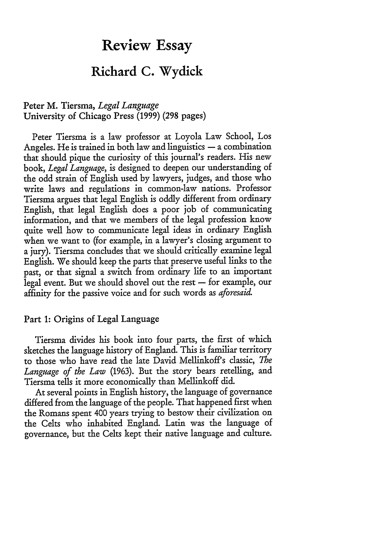# **Review Essay**

# **Richard C. Wydick**

# Peter M. Tiersma, *Legal Language* University of Chicago Press **(1999)** (298 pages)

Peter Tiersma is a law professor at Loyola Law School, Los Angeles. He is trained in both law and linguistics  $-$  a combination that should pique the curiosity of this journal's readers. His new book, *Legal Language,* is designed to deepen our understanding of the odd strain of English used by lawyers, judges, and those who write laws and regulations in common-law nations. Professor Tiersma argues that legal English is oddly different from ordinary English, that legal English does a poor job of communicating information, and that we members of the legal profession know quite well how to communicate legal ideas in ordinary English when we want to (for example, in a lawyer's closing argument to a jury). Tiersma concludes that we should critically examine legal English. We should keep the parts that preserve useful links to the past, or that signal a switch from ordinary life to an important legal event. But we should shovel out the rest  $-$  for example, our affinity for the passive voice and for such words as *aforesaid*

## Part **1:** Origins of Legal Language

Tiersma divides his book into four parts, the first of which sketches the language history of England. This is familiar territory to those who have read the late David Mellinkoff's classic, *The Language of the Law* (1963). But the story bears retelling, and Tiersma tells it more economically than Mellinkoff did.

At several points in English history, the language of governance differed from the language of the people. That happened first when the Romans spent 400 years trying to bestow their civilization on the Celts who inhabited England. Latin was the language of governance, but the Celts kept their native language and culture.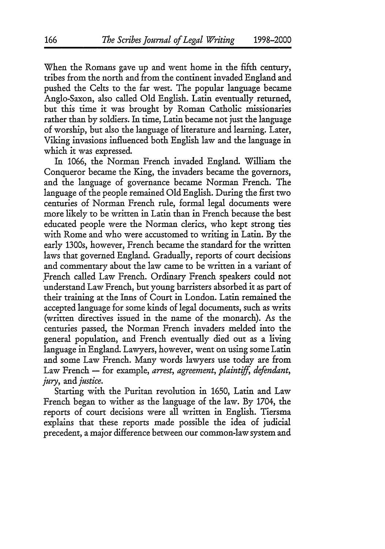When the Romans gave up and went home in the fifth century, tribes from the north and from the continent invaded England and pushed the Celts to the far west. The popular language became Anglo-Saxon, also called Old English. Latin eventually returned, but this time it was brought by Roman Catholic missionaries rather than by soldiers. In time, Latin became not just the language of worship, but also the language of literature and learning. Later, Viking invasions influenced both English law and the language in which it was expressed.

In 1066, the Norman French invaded England. William the Conqueror became the King, the invaders became the governors, and the language of governance became Norman French. The language of the people remained Old English. During the first two centuries of Norman French rule, formal legal documents were more likely to be written in Latin than in French because the best educated people were the Norman clerics, who kept strong ties with Rome and who were accustomed to writing in Latin. By the early 1300s, however, French became the standard for the written laws that governed England. Gradually, reports of court decisions and commentary about the law came to be written in a variant of French called Law French. Ordinary French speakers could not understand Law French, but young barristers absorbed it as part of their training at the Inns of Court in London. Latin remained the accepted language for some kinds of legal documents, such as writs (written directives issued in the name of the monarch). As the centuries passed, the Norman French invaders melded into the general population, and French eventually died out as a living language in England. Lawyers, however, went on using some Latin and some Law French. Many words lawyers use today are from Law French - for example, arrest, agreement, plaintiff, defendant, *jury, and justice.*

Starting with the Puritan revolution in 1650, Latin and Law French began to wither as the language of the law. By 1704, the reports of court decisions were all written in English. Tiersma explains that these reports made possible the idea of judicial precedent, a major difference between our common-law system and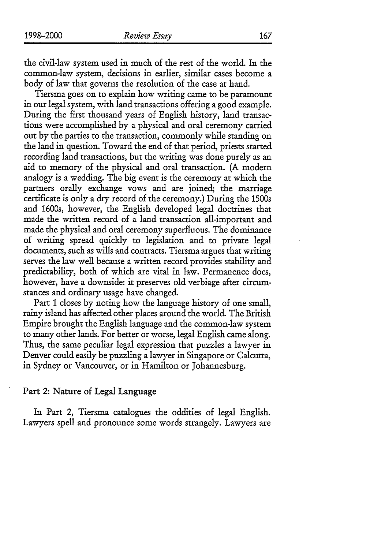the civil-law system used in much of the rest of the world. In the common-law system, decisions in earlier, similar cases become a body of law that governs the resolution of the case at hand.

Tiersma goes on to explain how writing came to be paramount **in** our legal system, with land transactions offering a good example. During the first thousand years of English history, land transactions were accomplished by a physical and oral ceremony carried out by the parties to the transaction, commonly while standing on the land in question. Toward the end of that period, priests started recording land transactions, but the writing was done purely as an aid to memory of the physical and oral transaction. (A modern analogy is a wedding. The big event is the ceremony at which the partners orally exchange vows and are joined, the marriage certificate is only a dry record of the ceremony.) During the 1500s and 1600s, however, the English developed legal doctrines that made the written record of a land transaction all-important and made the physical and oral ceremony superfluous. The dominance of writing spread quickly to legislation and to private legal documents, such as wills and contracts. Tiersma argues that writing serves the law well because a written record provides stability and predictability, both of which are vital in law. Permanence does, however, have a downside: it preserves old verbiage after circumstances and ordinary usage have changed.

Part **1** closes by noting how the language history of one small, rainy island has affected other places around the world. The British Empire brought the English language and the common-law system to many other lands. For better or worse, legal English came along. Thus, the same peculiar legal expression that puzzles a lawyer in Denver could easily be puzzling a lawyer in Singapore or Calcutta, in Sydney or Vancouver, or in Hamilton or Johannesburg.

#### Part *2:* Nature of Legal Language

In Part 2, Tiersma catalogues the oddities of legal English. Lawyers spell and pronounce some words strangely. Lawyers are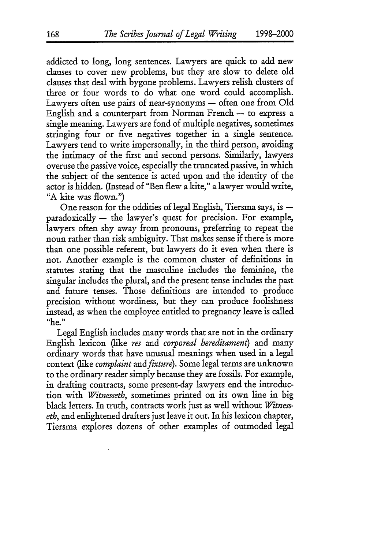addicted to long, long sentences. Lawyers are quick to add new clauses to cover new problems, but they are slow to delete old clauses that deal with bygone problems. Lawyers relish clusters of three or four words to do what one word could accomplish. Lawyers often use pairs of near-synonyms — often one from Old English and a counterpart from Norman French  $-$  to express a single meaning. Lawyers are fond of multiple negatives, sometimes stringing four or five negatives together in a single sentence. Lawyers tend to write impersonally, in the third person, avoiding the intimacy of the first and second persons. Similarly, lawyers overuse the passive voice, especially the truncated passive, in which the subject of the sentence is acted upon and the identity of the actor is hidden. (Instead of "Ben flew a kite," a lawyer would write, "A kite was flown.")

One reason for the oddities of legal English, Tiersma says, is  $\text{paradoxically}$  - the lawyer's quest for precision. For example, lawyers often shy away from pronouns, preferring to repeat the noun rather than risk ambiguity. That makes sense if there is more than one possible referent, but lawyers do it even when there is not. Another example is the common cluster of definitions in statutes stating that the masculine includes the feminine, the singular includes the plural, and the present tense includes the past and future tenses. Those definitions are intended to produce precision without wordiness, but they can produce foolishness instead, as when the employee entitled to pregnancy leave is called "he."

Legal English includes many words that are not in the ordinary English lexicon (like *res and corporeal hereditament)* and many ordinary words that have unusual meanings when used in a legal context (like *complaint and fixture).* Some legal terms are unknown to the ordinary reader simply because they are fossils. For example, in drafting contracts, some present-day lawyers end the introduction with *Witnesseth,* sometimes printed on its own line in big black letters. In truth, contracts work just as well without *Witnesseth,* and enlightened drafters just leave it out. In his lexicon chapter, Tiersma explores dozens of other examples of outmoded legal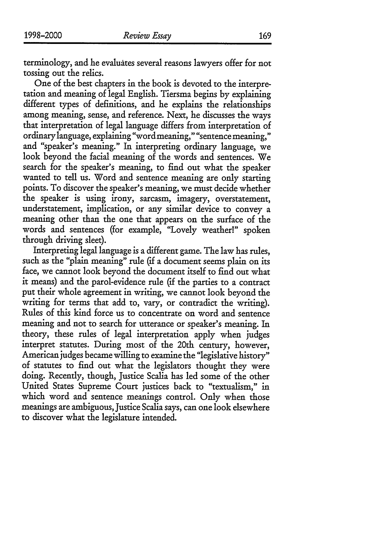169

terminology, and he evaluates several reasons lawyers offer for not tossing out the relics.

One of the best chapters in the book is devoted to the interpretation and meaning of legal English. Tiersma begins by explaining different types of definitions, and he explains the relationships among meaning, sense, and reference. Next, he discusses the ways that interpretation of legal language differs from interpretation of ordinary language, explaining "word meaning," "sentence meaning," and "speaker's meaning." In interpreting ordinary language, we look beyond the facial meaning of the words and sentences. We search for the speaker's meaning, to find out what the speaker wanted to tell us. Word and sentence meaning are only starting points. To discover the speaker's meaning, we must decide whether the speaker is using irony, sarcasm, imagery, overstatement, understatement, implication, or any similar device to convey a meaning other than the one that appears on the surface of the words and sentences (for example, "Lovely weather!" spoken through driving sleet).

Interpreting legal language is a different game. The law has rules, such as the "plain meaning" rule (if a document seems plain on its face, we cannot look beyond the document itself to find out what it means) and the parol-evidence rule (if the parties to a contract put their whole agreement in writing, we cannot look beyond the writing for terms that add to, vary, or contradict the writing). Rules of this kind force us to concentrate on word and sentence meaning and not to search for utterance or speaker's meaning. In theory, these rules of legal interpretation apply when judges interpret statutes. During most of the 20th century, however, American judges became willing to examine the "legislative history" of statutes to find out what the legislators thought they were doing. Recently, though, Justice Scalia has led some of the other United States Supreme Court justices back to "textualism," in which word and sentence meanings control. Only when those meanings are ambiguous, Justice Scalia says, can one look elsewhere to discover what the legislature intended.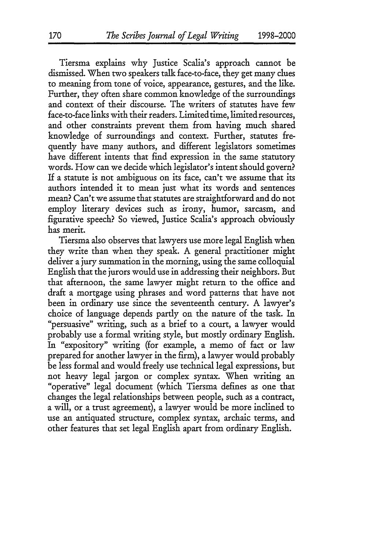Tiersma explains why Justice Scalia's approach cannot be dismissed. When two speakers talk face-to-face, they get many clues to meaning from tone of voice, appearance, gestures, and the like. Further, they often share common knowledge of the surroundings and context of their discourse. The writers of statutes have few face-to-face links with their readers. Limited time, limited resources, and other constraints prevent them from having much shared knowledge of surroundings and context. Further, statutes frequently have many authors, and different legislators sometimes have different intents that find expression in the same statutory words. How can we decide which legislator's intent should govern? If a statute is not ambiguous on its face, can't we assume that its authors intended it to mean just what its words and sentences mean? Can't we assume that statutes are straightforward and do not employ literary devices such as irony, humor, sarcasm, and figurative speech? So viewed, Justice Scalia's approach obviously has merit.

Tiersma also observes that lawyers use more legal English when they write than when they speak. A general practitioner might deliver a jury summation in the morning, using the same colloquial English that the jurors would use in addressing their neighbors. But that afternoon, the same lawyer might return to the office and draft a mortgage using phrases and word patterns that have not been in ordinary use since the seventeenth century. A lawyer's choice of language depends partly on the nature of the task. In "persuasive" writing, such as a brief to a court, a lawyer would probably use a formal writing style, but mostly ordinary English. In "expository" writing (for example, a memo of fact or law prepared for another lawyer in the firm), a lawyer would probably be less formal and would freely use technical legal expressions, but not heavy legal jargon or complex syntax. When writing an "operative" legal document (which Tiersma defines as one that changes the legal relationships between people, such as a contract, a will, or a trust agreement), a lawyer would be more inclined to use an antiquated structure, complex syntax, archaic terms, and other features that set legal English apart from ordinary English.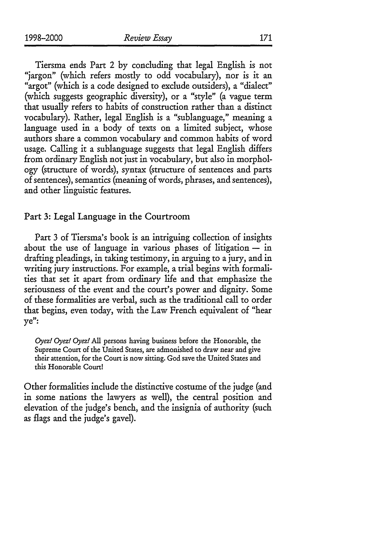Tiersma ends Part 2 by concluding that legal English is not "jargon" (which refers mostly to odd vocabulary), nor is it an "argot" (which is a code designed to exclude outsiders), a "dialect" (which suggests geographic diversity), or a "style" (a vague term that usually refers to habits of construction rather than a distinct vocabulary). Rather, legal English is a "sublanguage," meaning a language used in a body of texts on a limited subject, whose authors share a common vocabulary and common habits of word usage. Calling it a sublanguage suggests that legal English differs from ordinary English not just in vocabulary, but also in morphology (structure of words), syntax (structure of sentences and parts of sentences), semantics (meaning of words, phrases, and sentences), and other linguistic features.

#### Part **3:** Legal Language in the Courtroom

Part 3 of Tiersma's book is an intriguing collection of insights about the use of language in various phases of litigation  $-$  in drafting pleadings, in taking testimony, in arguing to a jury, and in writing jury instructions. For example, a trial begins with formalities that set it apart from ordinary life and that emphasize the seriousness of the event and the court's power and dignity. Some of these formalities are verbal, such as the traditional call to order that begins, even today, with the Law French equivalent of "hear ye":

*Oyez!* Oyez! *Oyez!* All persons having business before the Honorable, the Supreme Court of the United States, are admonished to draw near and give their attention, for the Court is now sitting. God save the United States and this Honorable Court!

Other formalities include the distinctive costume of the judge (and in some nations the lawyers as well), the central position and elevation of the judge's bench, and the insignia of authority (such as flags and the judge's gavel).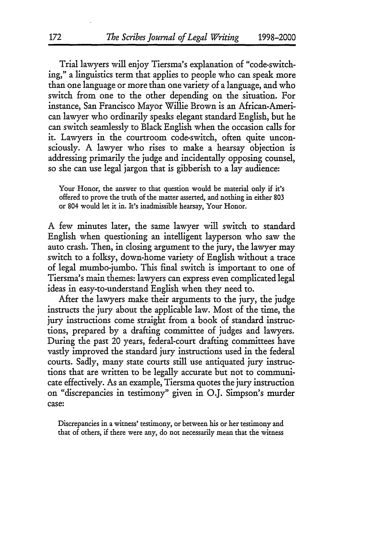Trial lawyers will enjoy Tiersma's explanation of "code-switching," a linguistics term that applies to people who can speak more than one language or more than one variety of a language, and who switch from one to the other depending on the situation. For instance, San Francisco Mayor Willie Brown is an African-American lawyer who ordinarily speaks elegant standard English, but he can switch seamlessly to Black English when the occasion calls for it. Lawyers in the courtroom code-switch, often quite unconsciously. A lawyer who rises to make a hearsay objection is addressing primarily the judge and incidentally opposing counsel, so she can use legal jargon that is gibberish to a lay audience:

Your Honor, the answer to that question would be material only if it's offered to prove the truth of the matter asserted, and nothing in either 803 or 804 would let it in. It's inadmissible hearsay, Your Honor.

A few minutes later, the same lawyer will switch to standard English when questioning an intelligent layperson who saw the auto crash. Then, in dosing argument to the jury, the lawyer may switch to a folksy, down-home variety of English without a trace of legal mumbo-jumbo. This final switch is important to one of Tiersma's main themes: lawyers can express even complicated legal ideas in easy-to-understand English when they need to.

After the lawyers make their arguments to the jury, the judge instructs the jury about the applicable law. Most of the time, the jury instructions come straight from a book of standard instructions, prepared by a drafting committee of judges and lawyers. During the past 20 years, federal-court drafting committees have vastly improved the standard jury instructions used in the federal courts. Sadly, many state courts still use antiquated jury instructions that are written to be legally accurate but not to communicate effectively. As an example, Tiersma quotes the jury instruction on "discrepancies in testimony" given in O.J. Simpson's murder case:

Discrepancies in a witness' testimony, or between his or her testimony and that of others, if there were any, do not necessarily mean that the witness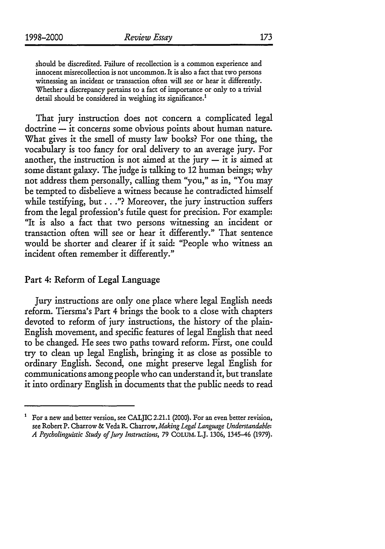should be discredited. Failure of recollection is a common experience and innocent misrecollection is not uncommon. It is also a fact that two persons witnessing an incident or transaction often will see or hear it differently. Whether a discrepancy pertains to a fact of importance or only to a trivial detail should be considered in weighing its significance.<sup>1</sup>

That jury instruction does not concern a complicated legal doctrine **-** it concerns some obvious points about human nature. What gives it the smell of musty law books? For one thing, the vocabulary is too fancy for oral delivery to an average jury. For another, the instruction is not aimed at the jury  $-$  it is aimed at some distant galaxy. The judge is talking to 12 human beings; why not address them personally, calling them "you," as in, "You may be tempted to disbelieve a witness because he contradicted himself while testifying, but..."? Moreover, the jury instruction suffers from the legal profession's futile quest for precision. For example: "It is also a fact that two persons witnessing an incident or transaction often will see or hear it differently." That sentence would be shorter and clearer if it said: "People who witness an incident often remember it differently."

### Part 4: Reform of Legal Language

Jury instructions are only one place where legal English needs reform. Tiersma's Part 4 brings the book to a close with chapters devoted to reform of jury instructions, the history of the plain-English movement, and specific features of legal English that need to be changed. He sees two paths toward reform. First, one could try to clean up legal English, bringing it as close as possible to ordinary English. Second, one might preserve legal English for communications among people who can understand it, but translate it into ordinary English in documents that the public needs to read

For a new and better version, see CALJIC 2.21.1 (2000). For an even better revision, see Robert P. Charrow & Veda R. Charrow, *Making Legal Language Understandable: A Psycholinguistic Study of Jury Instructions,* 79 COLUM. *LJ.* 1306, 1345-46 (1979).